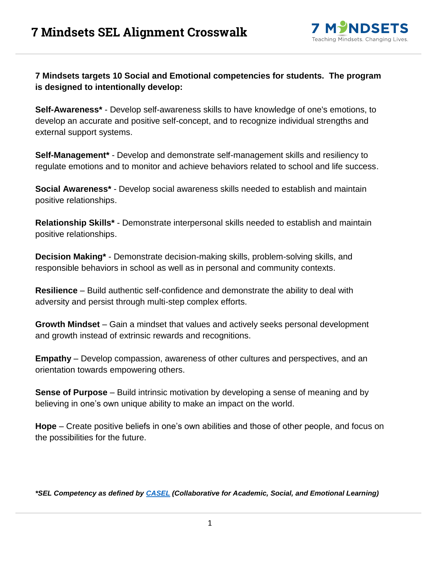

### **7 Mindsets targets 10 Social and Emotional competencies for students. The program is designed to intentionally develop:**

**Self-Awareness\*** - Develop self-awareness skills to have knowledge of one's emotions, to develop an accurate and positive self-concept, and to recognize individual strengths and external support systems.

**Self-Management\*** - Develop and demonstrate self-management skills and resiliency to regulate emotions and to monitor and achieve behaviors related to school and life success.

**Social Awareness\*** - Develop social awareness skills needed to establish and maintain positive relationships.

**Relationship Skills\*** - Demonstrate interpersonal skills needed to establish and maintain positive relationships.

**Decision Making\*** - Demonstrate decision-making skills, problem-solving skills, and responsible behaviors in school as well as in personal and community contexts.

**Resilience** – Build authentic self-confidence and demonstrate the ability to deal with adversity and persist through multi-step complex efforts.

**Growth Mindset** – Gain a mindset that values and actively seeks personal development and growth instead of extrinsic rewards and recognitions.

**Empathy** – Develop compassion, awareness of other cultures and perspectives, and an orientation towards empowering others.

**Sense of Purpose** – Build intrinsic motivation by developing a sense of meaning and by believing in one's own unique ability to make an impact on the world.

**Hope** – Create positive beliefs in one's own abilities and those of other people, and focus on the possibilities for the future.

*\*SEL Competency as defined by [CASEL](https://casel.org/) (Collaborative for Academic, Social, and Emotional Learning)*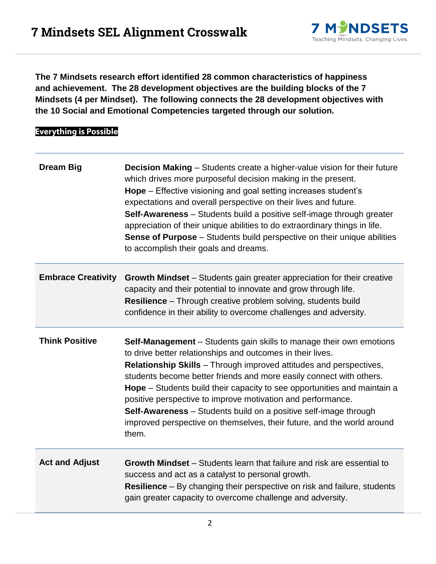

**The 7 Mindsets research effort identified 28 common characteristics of happiness and achievement. The 28 development objectives are the building blocks of the 7 Mindsets (4 per Mindset). The following connects the 28 development objectives with the 10 Social and Emotional Competencies targeted through our solution.**

## **Everything is Possible**

| <b>Dream Big</b>          | <b>Decision Making</b> – Students create a higher-value vision for their future<br>which drives more purposeful decision making in the present.<br>Hope – Effective visioning and goal setting increases student's<br>expectations and overall perspective on their lives and future.<br>Self-Awareness - Students build a positive self-image through greater<br>appreciation of their unique abilities to do extraordinary things in life.<br><b>Sense of Purpose</b> – Students build perspective on their unique abilities<br>to accomplish their goals and dreams.                        |
|---------------------------|------------------------------------------------------------------------------------------------------------------------------------------------------------------------------------------------------------------------------------------------------------------------------------------------------------------------------------------------------------------------------------------------------------------------------------------------------------------------------------------------------------------------------------------------------------------------------------------------|
| <b>Embrace Creativity</b> | <b>Growth Mindset</b> – Students gain greater appreciation for their creative<br>capacity and their potential to innovate and grow through life.<br>Resilience - Through creative problem solving, students build<br>confidence in their ability to overcome challenges and adversity.                                                                                                                                                                                                                                                                                                         |
| <b>Think Positive</b>     | <b>Self-Management</b> – Students gain skills to manage their own emotions<br>to drive better relationships and outcomes in their lives.<br><b>Relationship Skills</b> - Through improved attitudes and perspectives,<br>students become better friends and more easily connect with others.<br>Hope – Students build their capacity to see opportunities and maintain a<br>positive perspective to improve motivation and performance.<br>Self-Awareness - Students build on a positive self-image through<br>improved perspective on themselves, their future, and the world around<br>them. |
| <b>Act and Adjust</b>     | <b>Growth Mindset</b> – Students learn that failure and risk are essential to<br>success and act as a catalyst to personal growth.<br><b>Resilience</b> – By changing their perspective on risk and failure, students<br>gain greater capacity to overcome challenge and adversity.                                                                                                                                                                                                                                                                                                            |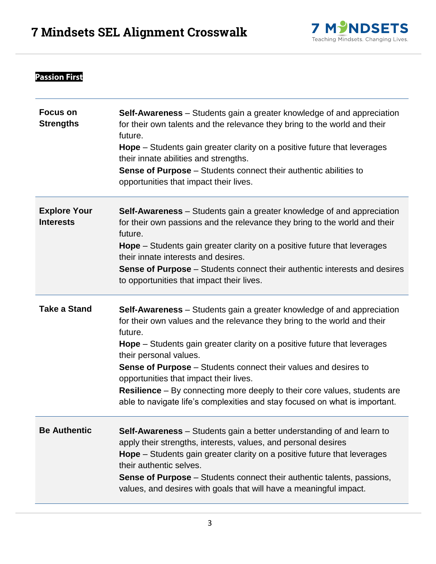

## **Passion First**

| <b>Focus on</b><br><b>Strengths</b>     | Self-Awareness - Students gain a greater knowledge of and appreciation<br>for their own talents and the relevance they bring to the world and their<br>future.<br><b>Hope</b> – Students gain greater clarity on a positive future that leverages<br>their innate abilities and strengths.<br>Sense of Purpose - Students connect their authentic abilities to<br>opportunities that impact their lives.                                                                                                                                                                 |
|-----------------------------------------|--------------------------------------------------------------------------------------------------------------------------------------------------------------------------------------------------------------------------------------------------------------------------------------------------------------------------------------------------------------------------------------------------------------------------------------------------------------------------------------------------------------------------------------------------------------------------|
| <b>Explore Your</b><br><b>Interests</b> | <b>Self-Awareness</b> – Students gain a greater knowledge of and appreciation<br>for their own passions and the relevance they bring to the world and their<br>future.<br><b>Hope</b> – Students gain greater clarity on a positive future that leverages<br>their innate interests and desires.<br>Sense of Purpose - Students connect their authentic interests and desires<br>to opportunities that impact their lives.                                                                                                                                               |
| <b>Take a Stand</b>                     | <b>Self-Awareness</b> – Students gain a greater knowledge of and appreciation<br>for their own values and the relevance they bring to the world and their<br>future.<br><b>Hope</b> – Students gain greater clarity on a positive future that leverages<br>their personal values.<br><b>Sense of Purpose</b> – Students connect their values and desires to<br>opportunities that impact their lives.<br><b>Resilience</b> – By connecting more deeply to their core values, students are<br>able to navigate life's complexities and stay focused on what is important. |
| <b>Be Authentic</b>                     | <b>Self-Awareness</b> – Students gain a better understanding of and learn to<br>apply their strengths, interests, values, and personal desires<br><b>Hope</b> – Students gain greater clarity on a positive future that leverages<br>their authentic selves.<br><b>Sense of Purpose</b> – Students connect their authentic talents, passions,<br>values, and desires with goals that will have a meaningful impact.                                                                                                                                                      |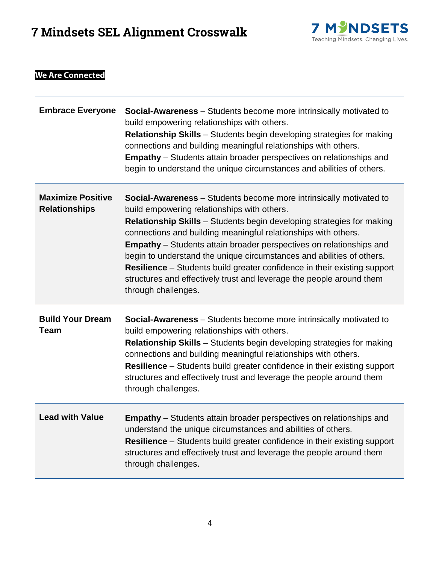

| <b>We Are Connected</b>                          |                                                                                                                                                                                                                                                                                                                                                                                                                                                                                                                                                                                                                     |
|--------------------------------------------------|---------------------------------------------------------------------------------------------------------------------------------------------------------------------------------------------------------------------------------------------------------------------------------------------------------------------------------------------------------------------------------------------------------------------------------------------------------------------------------------------------------------------------------------------------------------------------------------------------------------------|
| <b>Embrace Everyone</b>                          | Social-Awareness - Students become more intrinsically motivated to<br>build empowering relationships with others.<br><b>Relationship Skills</b> – Students begin developing strategies for making<br>connections and building meaningful relationships with others.<br><b>Empathy</b> – Students attain broader perspectives on relationships and<br>begin to understand the unique circumstances and abilities of others.                                                                                                                                                                                          |
| <b>Maximize Positive</b><br><b>Relationships</b> | <b>Social-Awareness</b> – Students become more intrinsically motivated to<br>build empowering relationships with others.<br><b>Relationship Skills</b> – Students begin developing strategies for making<br>connections and building meaningful relationships with others.<br><b>Empathy</b> – Students attain broader perspectives on relationships and<br>begin to understand the unique circumstances and abilities of others.<br><b>Resilience</b> – Students build greater confidence in their existing support<br>structures and effectively trust and leverage the people around them<br>through challenges. |
| <b>Build Your Dream</b><br>Team                  | <b>Social-Awareness</b> – Students become more intrinsically motivated to<br>build empowering relationships with others.<br><b>Relationship Skills</b> – Students begin developing strategies for making<br>connections and building meaningful relationships with others.<br><b>Resilience</b> – Students build greater confidence in their existing support<br>structures and effectively trust and leverage the people around them<br>through challenges.                                                                                                                                                        |
| <b>Lead with Value</b>                           | <b>Empathy</b> – Students attain broader perspectives on relationships and<br>understand the unique circumstances and abilities of others.<br><b>Resilience</b> – Students build greater confidence in their existing support<br>structures and effectively trust and leverage the people around them<br>through challenges.                                                                                                                                                                                                                                                                                        |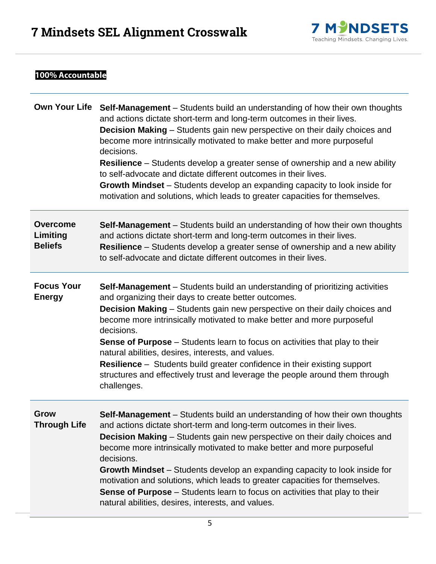

## 100% Accountable

|                                               | Own Your Life Self-Management - Students build an understanding of how their own thoughts<br>and actions dictate short-term and long-term outcomes in their lives.<br>Decision Making - Students gain new perspective on their daily choices and<br>become more intrinsically motivated to make better and more purposeful<br>decisions.<br><b>Resilience</b> – Students develop a greater sense of ownership and a new ability<br>to self-advocate and dictate different outcomes in their lives.<br><b>Growth Mindset</b> – Students develop an expanding capacity to look inside for<br>motivation and solutions, which leads to greater capacities for themselves. |
|-----------------------------------------------|------------------------------------------------------------------------------------------------------------------------------------------------------------------------------------------------------------------------------------------------------------------------------------------------------------------------------------------------------------------------------------------------------------------------------------------------------------------------------------------------------------------------------------------------------------------------------------------------------------------------------------------------------------------------|
| <b>Overcome</b><br>Limiting<br><b>Beliefs</b> | <b>Self-Management</b> – Students build an understanding of how their own thoughts<br>and actions dictate short-term and long-term outcomes in their lives.<br><b>Resilience</b> – Students develop a greater sense of ownership and a new ability<br>to self-advocate and dictate different outcomes in their lives.                                                                                                                                                                                                                                                                                                                                                  |
| <b>Focus Your</b><br><b>Energy</b>            | <b>Self-Management</b> – Students build an understanding of prioritizing activities<br>and organizing their days to create better outcomes.<br>Decision Making - Students gain new perspective on their daily choices and<br>become more intrinsically motivated to make better and more purposeful<br>decisions.<br><b>Sense of Purpose</b> – Students learn to focus on activities that play to their<br>natural abilities, desires, interests, and values.<br><b>Resilience</b> – Students build greater confidence in their existing support<br>structures and effectively trust and leverage the people around them through<br>challenges.                        |
| <b>Grow</b><br>Through Life                   | Self-Management - Students build an understanding of how their own thoughts<br>and actions dictate short-term and long-term outcomes in their lives.<br><b>Decision Making</b> – Students gain new perspective on their daily choices and<br>become more intrinsically motivated to make better and more purposeful<br>decisions.<br>Growth Mindset – Students develop an expanding capacity to look inside for<br>motivation and solutions, which leads to greater capacities for themselves.<br><b>Sense of Purpose</b> – Students learn to focus on activities that play to their<br>natural abilities, desires, interests, and values.                             |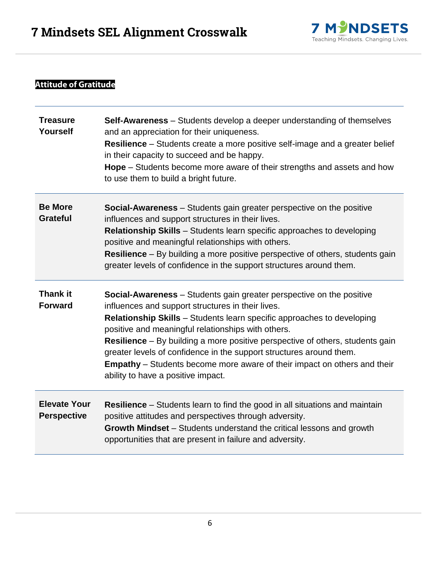

# **Attitude of Gratitude**

| <b>Treasure</b><br>Yourself               | <b>Self-Awareness</b> – Students develop a deeper understanding of themselves<br>and an appreciation for their uniqueness.<br><b>Resilience</b> – Students create a more positive self-image and a greater belief<br>in their capacity to succeed and be happy.<br><b>Hope</b> – Students become more aware of their strengths and assets and how<br>to use them to build a bright future.                                                                                                                                                               |
|-------------------------------------------|----------------------------------------------------------------------------------------------------------------------------------------------------------------------------------------------------------------------------------------------------------------------------------------------------------------------------------------------------------------------------------------------------------------------------------------------------------------------------------------------------------------------------------------------------------|
| <b>Be More</b><br><b>Grateful</b>         | <b>Social-Awareness</b> – Students gain greater perspective on the positive<br>influences and support structures in their lives.<br><b>Relationship Skills</b> - Students learn specific approaches to developing<br>positive and meaningful relationships with others.<br><b>Resilience</b> – By building a more positive perspective of others, students gain<br>greater levels of confidence in the support structures around them.                                                                                                                   |
| <b>Thank it</b><br><b>Forward</b>         | <b>Social-Awareness</b> – Students gain greater perspective on the positive<br>influences and support structures in their lives.<br>Relationship Skills - Students learn specific approaches to developing<br>positive and meaningful relationships with others.<br><b>Resilience</b> – By building a more positive perspective of others, students gain<br>greater levels of confidence in the support structures around them.<br><b>Empathy</b> – Students become more aware of their impact on others and their<br>ability to have a positive impact. |
| <b>Elevate Your</b><br><b>Perspective</b> | <b>Resilience</b> – Students learn to find the good in all situations and maintain<br>positive attitudes and perspectives through adversity.<br>Growth Mindset - Students understand the critical lessons and growth<br>opportunities that are present in failure and adversity.                                                                                                                                                                                                                                                                         |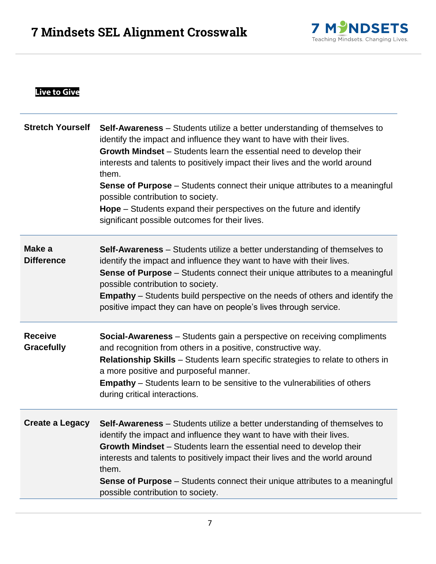

## **Live to Give**

| <b>Stretch Yourself</b>             | <b>Self-Awareness</b> – Students utilize a better understanding of themselves to<br>identify the impact and influence they want to have with their lives.<br>Growth Mindset – Students learn the essential need to develop their<br>interests and talents to positively impact their lives and the world around<br>them.<br><b>Sense of Purpose</b> – Students connect their unique attributes to a meaningful<br>possible contribution to society.<br>Hope - Students expand their perspectives on the future and identify<br>significant possible outcomes for their lives. |
|-------------------------------------|-------------------------------------------------------------------------------------------------------------------------------------------------------------------------------------------------------------------------------------------------------------------------------------------------------------------------------------------------------------------------------------------------------------------------------------------------------------------------------------------------------------------------------------------------------------------------------|
| Make a<br><b>Difference</b>         | <b>Self-Awareness</b> – Students utilize a better understanding of themselves to<br>identify the impact and influence they want to have with their lives.<br><b>Sense of Purpose</b> – Students connect their unique attributes to a meaningful<br>possible contribution to society.<br><b>Empathy</b> – Students build perspective on the needs of others and identify the<br>positive impact they can have on people's lives through service.                                                                                                                               |
| <b>Receive</b><br><b>Gracefully</b> | <b>Social-Awareness</b> – Students gain a perspective on receiving compliments<br>and recognition from others in a positive, constructive way.<br><b>Relationship Skills</b> – Students learn specific strategies to relate to others in<br>a more positive and purposeful manner.<br><b>Empathy</b> – Students learn to be sensitive to the vulnerabilities of others<br>during critical interactions.                                                                                                                                                                       |
| <b>Create a Legacy</b>              | <b>Self-Awareness</b> – Students utilize a better understanding of themselves to<br>identify the impact and influence they want to have with their lives.<br>Growth Mindset - Students learn the essential need to develop their<br>interests and talents to positively impact their lives and the world around<br>them.<br><b>Sense of Purpose</b> – Students connect their unique attributes to a meaningful<br>possible contribution to society.                                                                                                                           |